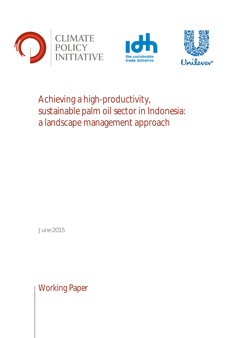





# Achieving a high-productivity, sustainable palm oil sector in Indonesia: a landscape management approach

June 2015

Working Paper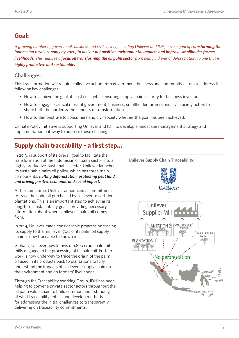## **Goal:**

*A growing number of government, business and civil society, including Unilever and IDH, have a goal of transforming the Indonesian rural economy by 2020, to deliver net positive environmental impacts and improve smallholder farmer livelihoods. This requires a focus on transforming the oil palm sector from being a driver of deforestation, to one that is highly productive and sustainable.*

## **Challenges:**

This transformation will require collective action from government, business and community actors to address the following key challenges:

- How to achieve the goal at least cost, while ensuring supply chain security for business investors
- How to engage a critical mass of government, business, smallholder farmers and civil society actors to share both the burden & the benefits of transformation
- How to demonstrate to consumers and civil society whether the goal has been achieved.

Climate Policy Initiative is supporting Unilever and IDH to develop a landscape management strategy and implementation pathway to address these challenges.

# **Supply chain traceability – a first step…**

In 2013, in support of its overall goal to facilitate the transformation of the Indonesian oil palm sector into a highly productive, sustainable sector, Unilever launched its sustainable palm oil policy, which has three main components: *halting deforestation; protecting peat land; and driving positive economic and social impact.* 

At the same time, Unilever announced a commitment to trace the palm oil purchased by Unilever to certified plantations. This is an important step to achieving its long-term sustainability goals, providing necessary information about where Unilever's palm oil comes from.

In 2014, Unilever made considerable progress on tracing its supply to the mill level; 70% of its palm oil supply chain is now traceable to known mills.

Globally, Unilever now knows of 1,800 crude palm oil mills engaged in the processing of its palm oil. Further work is now underway to trace the origin of the palm oil used in its products back to plantations to fully understand the impacts of Unilever's supply chain on the environment and on farmers' livelihoods.

Through the Traceability Working Group, IDH has been helping to convene private sector actors throughout the oil palm value chain to build common understanding of what traceability entails and develop methods for addressing the initial challenges to transparently delivering on traceability commitments.

Unilever Unilever Supplier Mill SMALLHOLDER PLANTATION 2 SMALLHOLDER<br>FARMER **PLANTATION 1** No deforestátion

**Unilever Supply Chain Traceability:**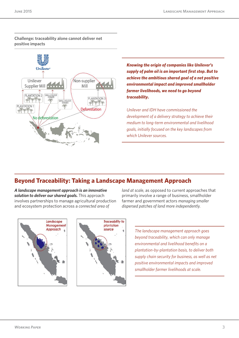#### **Challenge: traceability alone cannot deliver net positive impacts**



*Knowing the origin of companies like Unilever's supply of palm oil is an important first step. But to achieve the ambitious shared goal of a net positive environmental impact and improved smallholder farmer livelihoods, we need to go beyond traceability.*

*Unilever and IDH have commissioned the development of a delivery strategy to achieve their medium to long-term environmental and livelihood goals, initially focused on the key landscapes from which Unilever sources.* 

# **Beyond Traceability: Taking a Landscape Management Approach**

*A landscape management approach is an innovative solution to deliver our shared goals.* This approach involves partnerships to manage agricultural production and ecosystem protection across a *connected area of* 

*land at scale*, as opposed to current approaches that primarily involve a range of business, smallholder farmer and government actors *managing smaller dispersed patches of land more independently.*



*The landscape management approach goes beyond traceability, which can only manage environmental and livelihood benefits on a plantation-by-plantation basis, to deliver both supply chain security for business, as well as net positive environmental impacts and improved smallholder farmer livelihoods at scale.*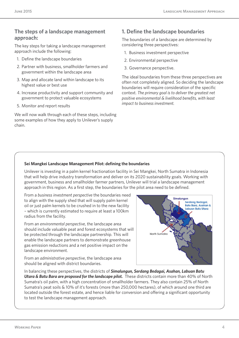### **The steps of a landscape management approach:**

The key steps for taking a landscape management approach include the following:

- 1. Define the landscape boundaries
- 2. Partner with business, smallholder farmers and government within the landscape area
- 3. Map and allocate land within landscape to its highest value or best use
- 4. Increase productivity and support community and government to protect valuable ecosystems
- 5. Monitor and report results

We will now walk through each of these steps, including some examples of how they apply to Unilever's supply chain.

## **1. Define the landscape boundaries**

The boundaries of a landscape are determined by considering three perspectives:

- 1. Business investment perspective
- 2. Environmental perspective
- 3. Governance perspective.

The ideal boundaries from these three perspectives are often not completely aligned. So deciding the landscape boundaries will require consideration of the specific context. *The primary goal is to deliver the greatest net positive environmental & livelihood benefits, with least impact to business investment.* 

#### **Sei Mangkei Landscape Management Pilot: defining the boundaries**

Unilever is investing in a palm kernel fractionation facility in Sei Mangkei, North Sumatra in Indonesia that will help drive industry transformation and deliver on its 2020 sustainability goals. Working with government, business and smallholder farmer partners, Unilever will trial a landscape management approach in this region. As a first step, the boundaries for the pilot area need to be defined.

From a *business investment perspective* the boundaries need to align with the supply shed that will supply palm kernel oil or just palm kernels to be crushed in to the new facility – which is currently estimated to require at least a 100km radius from the facility.

From an *environmental perspective*, the landscape area should include valuable peat and forest ecosystems that will be protected through the landscape partnership. This will enable the landscape partners to demonstrate greenhouse gas emission reductions and a net positive impact on the landscape environment.

From an *administrative perspective*, the landscape area should be aligned with district boundaries.



In balancing these perspectives, the districts of *Simalungun, Serdang Bedagai, Asahan, Labuan Batu Utara & Batu Bara are proposed for the landscape pilot.* These districts contain more than 40% of North Sumatra's oil palm, with a high concentration of smallholder farmers. They also contain 25% of North Sumatra's peat soils & 10% of it's forests (more than 250,000 hectares), of which around one third are located outside the forest estate, and hence liable for conversion and offering a significant opportunity to test the landscape management approach.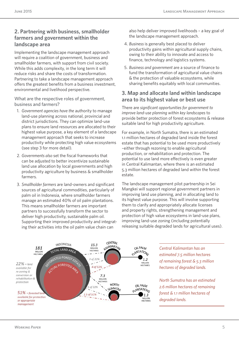## **2. Partnering with business, smallholder farmers and government within the landscape area**

Implementing the landscape management approach will require a coalition of government, business and smallholder farmers, with support from civil society. While this adds complexity, in the long term it will reduce risks and share the costs of transformation. Partnering to take a landscape management approach offers the greatest benefits from a business investment, environmental and livelihood perspective.

What are the respective roles of government, business and farmers?

- 1. *Government agencies have the* authority to manage land-use planning across national, provincial and district jurisdictions. They can optimize land-use plans to ensure land resources are allocated to their highest value purpose, a key element of a landscape management approach that seeks to increase productivity while protecting high value ecosystems (see step 3 for more detail).
- 2. *Governments also* set the fiscal frameworks that can be adjusted to better incentivize sustainable land use allocation by local governments and high productivity agriculture by business & smallholder farmers.
- 3. *Smallholder farmers* are land-owners and significant sources of agricultural commodities, particularly of palm oil in Indonesia, where smallholder farmers manage an estimated 40% of oil palm plantations. This means smallholder farmers are important partners to successfully transform the sector to deliver high productivity, sustainable palm oil. Supporting their improved productivity and integrating their activities into the oil palm value chain can

also help deliver improved livelihoods – a key goal of the landscape management approach.

- 4. *Business* is generally best placed to deliver productivity gains within agricultural supply chains, owing to their ability to innovate and access to finance, technology and logistics systems.
- 5. *Business and government* are a source of finance to fund the transformation of agricultural value chains & the protection of valuable ecosystems, while sharing benefits equitably with local communities.

## **3. Map and allocate land within landscape area to its highest value or best use**

There are *significant opportunities for government to improve land-use planning within key landscapes* to provide better protection of forest ecosystems & release suitable land for high productivity agriculture.

For example, in North Sumatra, there is an estimated 1.1 million hectares of degraded land inside the forest estate that has potential to be used more productively –either through rezoning to enable agricultural production, or rehabilitation and protection. The potential to use land more effectively is even greater in Central Kalimantan, where there is an estimated 5.3 million hectares of degraded land within the forest estate.

The landscape management pilot partnership in Sei Mangkei will support regional government partners in improving land use planning, and in allocating land to its highest value purpose. This will involve supporting them to clarify and appropriately allocate licenses and property rights, strengthening management and protection of high value ecosystems in land-use plans, improving land-use zoning (including potentially releasing suitable degraded lands for agricultural uses).



*Central Kalimantan has an estimated 7.5 million hectares of remaining forest & 5.3 million hectares of degraded lands.*

*North Sumatra has an estimated 2.6 million hectares of remaining forest & 1.1 million hectares of degraded lands.*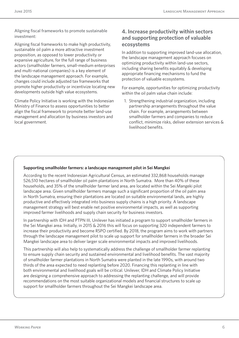Aligning fiscal frameworks to promote sustainable investment:

Aligning fiscal frameworks to make high productivity, sustainable oil palm a more attractive investment proposition, as opposed to lower productivity or expansive agriculture, for the full range of business actors (smallholder farmers, small-medium enterprises and multi-national companies) is a key element of the landscape management approach. For example, changes could include adjusted tax frameworks that promote higher productivity or incentivize locating new developments outside high value ecosystems.

Climate Policy Initiative is working with the Indonesian Ministry of Finance to assess opportunities to better align the fiscal framework to promote better land-use management and allocation by business investors and local government.

## **4. Increase productivity within sectors and supporting protection of valuable ecosystems**

In addition to supporting improved land-use allocation, the landscape management approach focuses on optimizing productivity within land-use sectors, including sharing benefits equitably & developing appropriate financing mechanisms to fund the protection of valuable ecosystems.

For example, opportunities for optimizing productivity within the oil palm value chain include:

1. Strengthening industrial organization, including partnership arrangements throughout the value chain. For example, arrangements between smallholder farmers and companies to reduce conflict, minimize risks, deliver extension services & livelihood benefits.

#### **Supporting smallholder farmers: a landscape management pilot in Sei Mangkei**

According to the recent Indonesian Agricultural Census, an estimated 332,868 households manage 526,510 hectares of smallholder oil palm plantations in North Sumatra. More than 40% of these households, and 35% of the smallholder farmer land area, are located within the Sei Mangeki pilot landscape area. Given smallholder farmers manage such a significant proportion of the oil palm area in North Sumatra, ensuring their plantations are located on suitable environmental lands, are highly productive and effectively integrated into business supply chains is a high priority. A landscape management strategy will best enable net positive environmental impacts, as well as supporting improved farmer livelihoods and supply chain security for business investors.

In partnership with IDH and PTPN III, Unilever has initiated a program to support smallholder farmers in the Sei Mangkei area. Initially, in 2015 & 2016 this will focus on supporting 320 independent farmers to increase their productivity and become RSPO certified. By 2018, the program aims to work with partners through the landscape management pilot to scale up support for smallholder farmers in the broader Sei Mangkei landscape area to deliver larger scale environmental impacts and improved livelihoods.

This partnership will also help to systematically address the challenge of smallholder farmer replanting to ensure supply chain security and sustained environmental and livelihood benefits. The vast majority of smallholder farmer plantations in North Sumatra were planted in the late 1990s, with around two thirds of the area expected to need replanting before 2020. Financing this replanting in line with both environmental and livelihood goals will be critical. Unilever, IDH and Climate Policy Initiative are designing a comprehensive approach to addressing the replanting challenge, and will provide recommendations on the most suitable organizational models and financial structures to scale up support for smallholder farmers throughout the Sei Mangkei landscape area.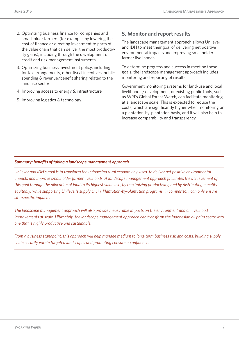- 2. Optimizing business finance for companies and smallholder farmers (for example, by lowering the cost of finance or directing investment to parts of the value chain that can deliver the most productivity gains), including through the development of credit and risk management instruments
- 3. Optimizing business investment policy, including for tax arrangements, other fiscal incentives, public spending & revenue/benefit sharing related to the land use sector
- 4. Improving access to energy & infrastructure
- 5. Improving logistics & technology.

## **5. Monitor and report results**

The landscape management approach allows Unilever and IDH to meet their goal of delivering net positive environmental impacts and improving smallholder farmer livelihoods.

To determine progress and success in meeting these goals, the landscape management approach includes monitoring and reporting of results.

Government monitoring systems for land-use and local livelihoods / development, or existing public tools, such as WRI's Global Forest Watch, can facilitate monitoring at a landscape scale. This is expected to reduce the costs, which are significantly higher when monitoring on a plantation-by-plantation basis, and it will also help to increase comparability and transparency.

#### *Summary: benefits of taking a landscape management approach*

*Unilever and IDH's goal is to transform the Indonesian rural economy by 2020, to deliver net positive environmental*  impacts and improve smallholder farmer livelihoods. A landscape management approach facilitates the achievement of *this goal through the allocation of land to its highest value use, by maximizing productivity, and by distributing benefits equitably, while supporting Unilever's supply chain. Plantation-by-plantation programs, in comparison, can only ensure site-specific impacts.* 

*The landscape management approach will also provide measurable impacts on the environment and on livelihood improvements at scale. Ultimately, the landscape management approach can transform the Indonesian oil palm sector into one that is highly productive and sustainable.*

*From a business standpoint, this approach will help manage medium to long-term business risk and costs, building supply chain security within targeted landscapes and promoting consumer confidence.*